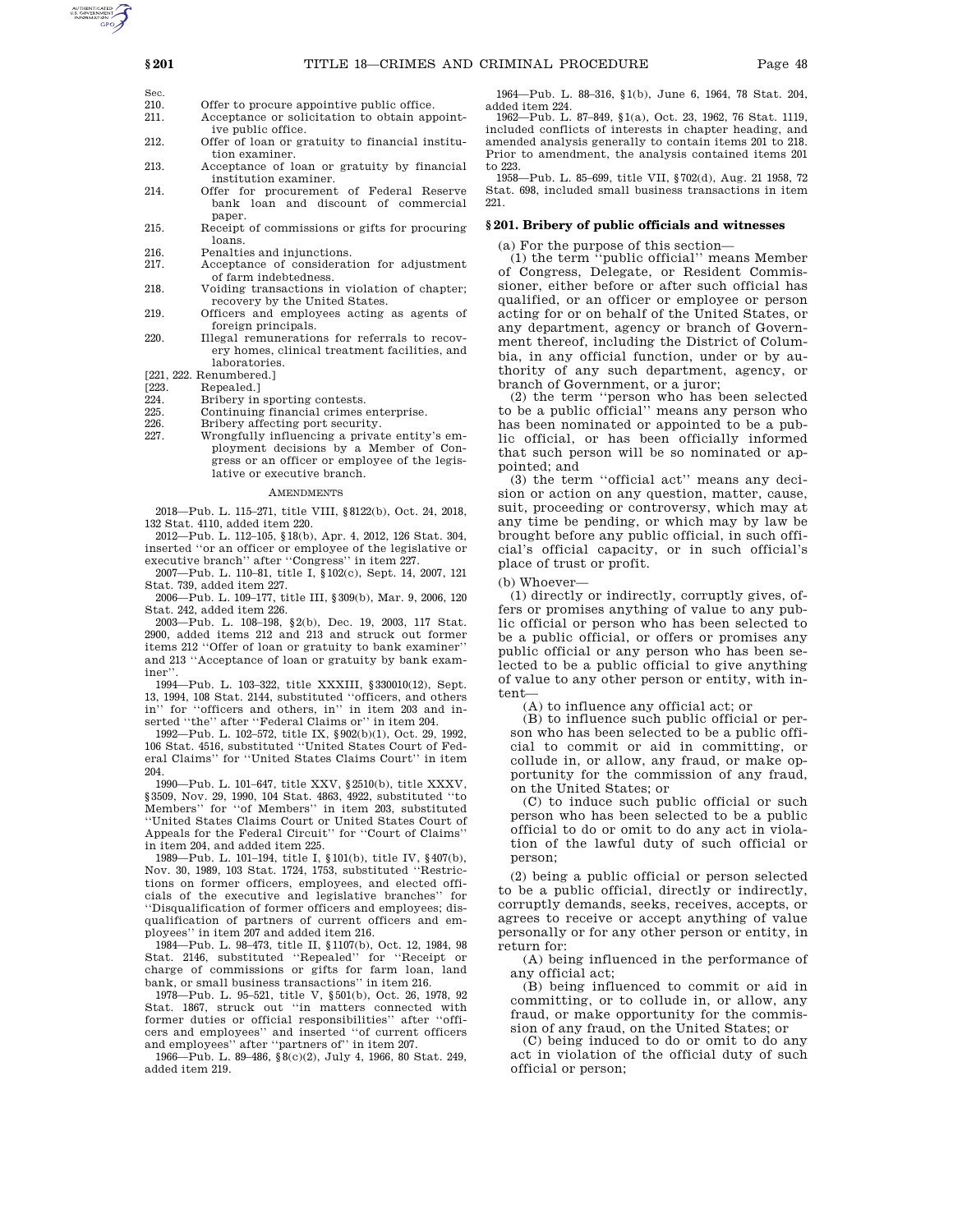- Sec.
- 210. Offer to procure appointive public office.<br>211. Acceptance or solicitation to obtain app Acceptance or solicitation to obtain appoint-
- ive public office. 212. Offer of loan or gratuity to financial institution examiner.
- 213. Acceptance of loan or gratuity by financial institution examiner.
- 214. Offer for procurement of Federal Reserve bank loan and discount of commercial paper.
- 215. Receipt of commissions or gifts for procuring loans.
- 216. Penalties and injunctions.
- 217. Acceptance of consideration for adjustment of farm indebtedness.
- 218. Voiding transactions in violation of chapter; recovery by the United States.
- 219. Officers and employees acting as agents of foreign principals.
- 220. Illegal remunerations for referrals to recovery homes, clinical treatment facilities, and laboratories.
- $[221, 222.$  Renumbered.]<br> $[223.$  Repealed.]
- [223. Repealed.]<br>224. Repealed.]
- 224. Bribery in sporting contests.<br>225. Continuing financial crimes
- 225. Continuing financial crimes enterprise.<br>226. Bribery affecting port security.
- 226. Bribery affecting port security.<br>227. Wrongfully influencing a prival
	- Wrongfully influencing a private entity's employment decisions by a Member of Congress or an officer or employee of the legislative or executive branch.

### AMENDMENTS

2018—Pub. L. 115–271, title VIII, §8122(b), Oct. 24, 2018, 132 Stat. 4110, added item 220.

2012—Pub. L. 112–105, §18(b), Apr. 4, 2012, 126 Stat. 304, inserted ''or an officer or employee of the legislative or executive branch'' after ''Congress'' in item 227.

2007—Pub. L. 110–81, title I, §102(c), Sept. 14, 2007, 121 Stat. 739, added item 227.

2006—Pub. L. 109–177, title III, §309(b), Mar. 9, 2006, 120 Stat. 242, added item 226.

2003—Pub. L. 108–198, §2(b), Dec. 19, 2003, 117 Stat. 2900, added items 212 and 213 and struck out former items 212 ''Offer of loan or gratuity to bank examiner'' and 213 ''Acceptance of loan or gratuity by bank examiner''.

1994—Pub. L. 103–322, title XXXIII, §330010(12), Sept. 13, 1994, 108 Stat. 2144, substituted ''officers, and others in'' for ''officers and others, in'' in item 203 and inserted "the" after "Federal Claims or" in item 204.

1992—Pub. L. 102–572, title IX, §902(b)(1), Oct. 29, 1992, 106 Stat. 4516, substituted ''United States Court of Federal Claims'' for ''United States Claims Court'' in item 204.

1990—Pub. L. 101–647, title XXV, §2510(b), title XXXV, §3509, Nov. 29, 1990, 104 Stat. 4863, 4922, substituted ''to Members'' for ''of Members'' in item 203, substituted ''United States Claims Court or United States Court of Appeals for the Federal Circuit'' for ''Court of Claims'' in item 204, and added item 225.

1989—Pub. L. 101–194, title I, §101(b), title IV, §407(b), Nov. 30, 1989, 103 Stat. 1724, 1753, substituted ''Restrictions on former officers, employees, and elected officials of the executive and legislative branches'' for ''Disqualification of former officers and employees; disqualification of partners of current officers and employees'' in item 207 and added item 216.

1984—Pub. L. 98–473, title II, §1107(b), Oct. 12, 1984, 98 Stat. 2146, substituted ''Repealed'' for ''Receipt or charge of commissions or gifts for farm loan, land bank, or small business transactions'' in item 216.

1978—Pub. L. 95–521, title V, §501(b), Oct. 26, 1978, 92 Stat. 1867, struck out ''in matters connected with former duties or official responsibilities'' after ''officers and employees'' and inserted ''of current officers and employees'' after ''partners of'' in item 207.

1966—Pub. L. 89–486, §8(c)(2), July 4, 1966, 80 Stat. 249, added item 219.

1964—Pub. L. 88–316, §1(b), June 6, 1964, 78 Stat. 204, added item 224.

1962—Pub. L. 87–849, §1(a), Oct. 23, 1962, 76 Stat. 1119, included conflicts of interests in chapter heading, and amended analysis generally to contain items 201 to 218. Prior to amendment, the analysis contained items 201 to 223.

1958—Pub. L. 85–699, title VII, §702(d), Aug. 21 1958, 72 Stat. 698, included small business transactions in item 221.

# **§ 201. Bribery of public officials and witnesses**

(a) For the purpose of this section—

(1) the term ''public official'' means Member of Congress, Delegate, or Resident Commissioner, either before or after such official has qualified, or an officer or employee or person acting for or on behalf of the United States, or any department, agency or branch of Government thereof, including the District of Columbia, in any official function, under or by authority of any such department, agency, or branch of Government, or a juror;

(2) the term ''person who has been selected to be a public official'' means any person who has been nominated or appointed to be a public official, or has been officially informed that such person will be so nominated or appointed; and

(3) the term ''official act'' means any decision or action on any question, matter, cause, suit, proceeding or controversy, which may at any time be pending, or which may by law be brought before any public official, in such official's official capacity, or in such official's place of trust or profit.

(b) Whoever—

(1) directly or indirectly, corruptly gives, offers or promises anything of value to any public official or person who has been selected to be a public official, or offers or promises any public official or any person who has been selected to be a public official to give anything of value to any other person or entity, with intent—

(A) to influence any official act; or

(B) to influence such public official or person who has been selected to be a public official to commit or aid in committing, or collude in, or allow, any fraud, or make opportunity for the commission of any fraud, on the United States; or

(C) to induce such public official or such person who has been selected to be a public official to do or omit to do any act in violation of the lawful duty of such official or person;

(2) being a public official or person selected to be a public official, directly or indirectly, corruptly demands, seeks, receives, accepts, or agrees to receive or accept anything of value personally or for any other person or entity, in return for:

(A) being influenced in the performance of any official act;

(B) being influenced to commit or aid in committing, or to collude in, or allow, any fraud, or make opportunity for the commission of any fraud, on the United States; or

(C) being induced to do or omit to do any act in violation of the official duty of such official or person;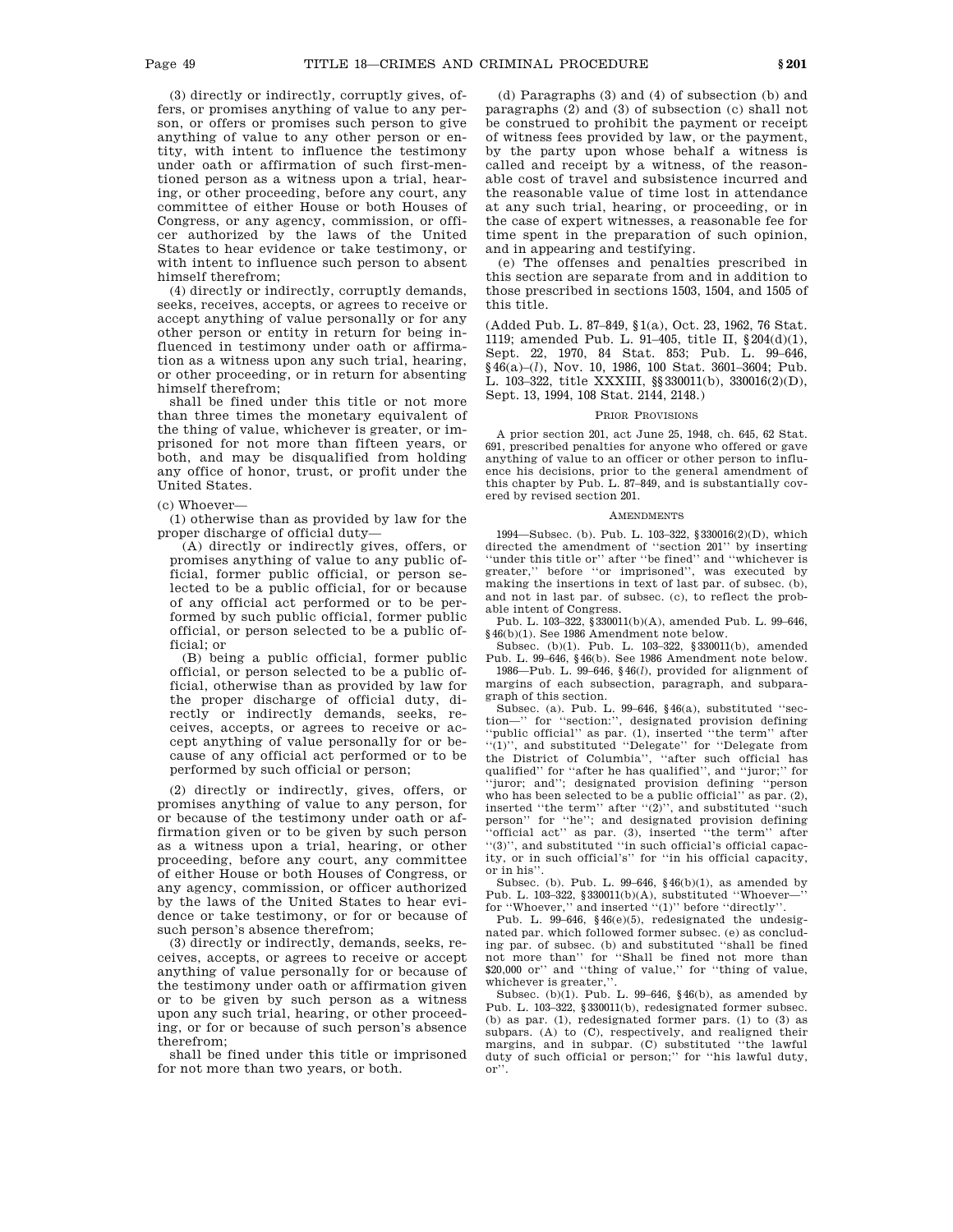(3) directly or indirectly, corruptly gives, offers, or promises anything of value to any person, or offers or promises such person to give anything of value to any other person or entity, with intent to influence the testimony under oath or affirmation of such first-mentioned person as a witness upon a trial, hearing, or other proceeding, before any court, any committee of either House or both Houses of Congress, or any agency, commission, or officer authorized by the laws of the United States to hear evidence or take testimony, or with intent to influence such person to absent himself therefrom;

(4) directly or indirectly, corruptly demands, seeks, receives, accepts, or agrees to receive or accept anything of value personally or for any other person or entity in return for being influenced in testimony under oath or affirmation as a witness upon any such trial, hearing, or other proceeding, or in return for absenting himself therefrom;

shall be fined under this title or not more than three times the monetary equivalent of the thing of value, whichever is greater, or imprisoned for not more than fifteen years, or both, and may be disqualified from holding any office of honor, trust, or profit under the United States.

## (c) Whoever—

(1) otherwise than as provided by law for the proper discharge of official duty—

(A) directly or indirectly gives, offers, or promises anything of value to any public official, former public official, or person selected to be a public official, for or because of any official act performed or to be performed by such public official, former public official, or person selected to be a public official; or

(B) being a public official, former public official, or person selected to be a public official, otherwise than as provided by law for the proper discharge of official duty, directly or indirectly demands, seeks, receives, accepts, or agrees to receive or accept anything of value personally for or because of any official act performed or to be performed by such official or person;

(2) directly or indirectly, gives, offers, or promises anything of value to any person, for or because of the testimony under oath or affirmation given or to be given by such person as a witness upon a trial, hearing, or other proceeding, before any court, any committee of either House or both Houses of Congress, or any agency, commission, or officer authorized by the laws of the United States to hear evidence or take testimony, or for or because of such person's absence therefrom;

(3) directly or indirectly, demands, seeks, receives, accepts, or agrees to receive or accept anything of value personally for or because of the testimony under oath or affirmation given or to be given by such person as a witness upon any such trial, hearing, or other proceeding, or for or because of such person's absence therefrom;

shall be fined under this title or imprisoned for not more than two years, or both.

(d) Paragraphs (3) and (4) of subsection (b) and paragraphs (2) and (3) of subsection (c) shall not be construed to prohibit the payment or receipt of witness fees provided by law, or the payment, by the party upon whose behalf a witness is called and receipt by a witness, of the reasonable cost of travel and subsistence incurred and the reasonable value of time lost in attendance at any such trial, hearing, or proceeding, or in the case of expert witnesses, a reasonable fee for time spent in the preparation of such opinion, and in appearing and testifying.

(e) The offenses and penalties prescribed in this section are separate from and in addition to those prescribed in sections 1503, 1504, and 1505 of this title.

(Added Pub. L. 87–849, §1(a), Oct. 23, 1962, 76 Stat. 1119; amended Pub. L. 91–405, title II, §204(d)(1), Sept. 22, 1970, 84 Stat. 853; Pub. L. 99–646, §46(a)–(*l*), Nov. 10, 1986, 100 Stat. 3601–3604; Pub. L. 103–322, title XXXIII, §§330011(b), 330016(2)(D), Sept. 13, 1994, 108 Stat. 2144, 2148.)

### PRIOR PROVISIONS

A prior section 201, act June 25, 1948, ch. 645, 62 Stat. 691, prescribed penalties for anyone who offered or gave anything of value to an officer or other person to influence his decisions, prior to the general amendment of this chapter by Pub. L. 87–849, and is substantially covered by revised section 201.

#### **AMENDMENTS**

1994—Subsec. (b). Pub. L. 103–322, §330016(2)(D), which directed the amendment of ''section 201'' by inserting ''under this title or'' after ''be fined'' and ''whichever is greater,'' before ''or imprisoned'', was executed by making the insertions in text of last par. of subsec. (b), and not in last par. of subsec. (c), to reflect the probable intent of Congress.

Pub. L. 103–322, §330011(b)(A), amended Pub. L. 99–646, §46(b)(1). See 1986 Amendment note below.

Subsec. (b)(1). Pub. L. 103–322, §330011(b), amended Pub. L. 99–646, §46(b). See 1986 Amendment note below.

1986—Pub. L. 99–646, §46(*l*), provided for alignment of margins of each subsection, paragraph, and subparagraph of this section.

Subsec. (a). Pub. L. 99–646, §46(a), substituted ''section—'' for ''section:'', designated provision defining ''public official'' as par. (1), inserted ''the term'' after ''(1)'', and substituted ''Delegate'' for ''Delegate from the District of Columbia'', ''after such official has qualified'' for ''after he has qualified'', and ''juror;'' for ''juror; and''; designated provision defining ''person who has been selected to be a public official'' as par. (2), inserted "the term" after "(2)", and substituted "such person'' for ''he''; and designated provision defining ''official act'' as par. (3), inserted ''the term'' after ''(3)'', and substituted ''in such official's official capacity, or in such official's'' for ''in his official capacity, or in his''.

Subsec. (b). Pub. L. 99–646, §46(b)(1), as amended by Pub. L. 103–322, §330011(b)(A), substituted ''Whoever—'' for ''Whoever,'' and inserted ''(1)'' before ''directly''.

Pub. L. 99–646, §46(e)(5), redesignated the undesignated par. which followed former subsec. (e) as concluding par. of subsec. (b) and substituted ''shall be fined not more than'' for "Shall be fined not more than \$20,000 or'' and ''thing of value,'' for ''thing of value, whichever is greater,'

Subsec. (b) $(1)$ . Pub. L. 99–646, §46(b), as amended by Pub. L. 103–322, §330011(b), redesignated former subsec. (b) as par. (1), redesignated former pars. (1) to  $(3)$  as subpars. (A) to (C), respectively, and realigned their margins, and in subpar. (C) substituted ''the lawful duty of such official or person;'' for ''his lawful duty, or''.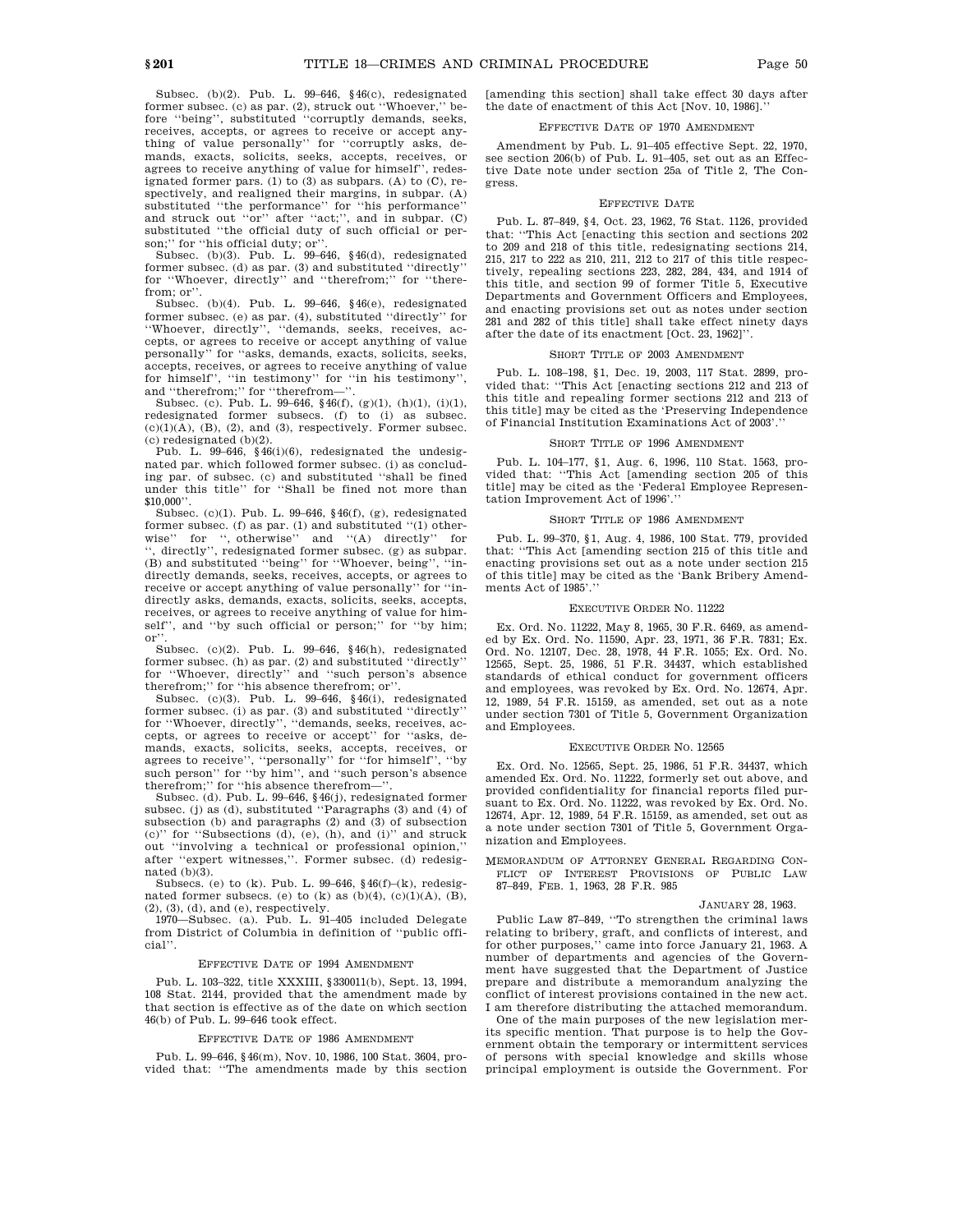Subsec. (b)(2). Pub. L. 99–646, §46(c), redesignated former subsec. (c) as par. (2), struck out ''Whoever,'' before ''being'', substituted ''corruptly demands, seeks, receives, accepts, or agrees to receive or accept anything of value personally'' for ''corruptly asks, demands, exacts, solicits, seeks, accepts, receives, or agrees to receive anything of value for himself'', redesignated former pars. (1) to (3) as subpars. (A) to  $(C)$ , respectively, and realigned their margins, in subpar. (A) substituted ''the performance'' for ''his performance'' and struck out ''or'' after ''act;'', and in subpar. (C) substituted ''the official duty of such official or per-

son;'' for ''his official duty; or''. Subsec. (b)(3). Pub. L. 99–646, §46(d), redesignated former subsec. (d) as par. (3) and substituted ''directly'' for ''Whoever, directly'' and ''therefrom;'' for ''therefrom; or''.

Subsec. (b)(4). Pub. L. 99–646, §46(e), redesignated former subsec. (e) as par. (4), substituted ''directly'' for ''Whoever, directly'', ''demands, seeks, receives, accepts, or agrees to receive or accept anything of value personally'' for ''asks, demands, exacts, solicits, seeks, accepts, receives, or agrees to receive anything of value for himself'', ''in testimony'' for ''in his testimony'', and ''therefrom;'' for ''therefrom—''.

Subsec. (c). Pub. L. 99–646,  $\frac{6}{6}$  46(f), (g)(1), (h)(1), (i)(1), redesignated former subsecs. (f) to (i) as subsec.  $(c)(1)(\overline{A})$ ,  $(B)$ ,  $(2)$ , and  $(3)$ , respectively. Former subsec. (c) redesignated (b)(2).

Pub. L. 99–646, §46(i)(6), redesignated the undesignated par. which followed former subsec. (i) as concluding par. of subsec. (c) and substituted ''shall be fined under this title" for "Shall be fined not more than  $$10,000"$ 

Subsec. (c)(1). Pub. L. 99–646,  $§46(f)$ , (g), redesignated former subsec. (f) as par. (1) and substituted ''(1) otherwise'' for '', otherwise'' and ''(A) directly'' for '', directly'', redesignated former subsec. (g) as subpar. (B) and substituted ''being'' for ''Whoever, being'', ''indirectly demands, seeks, receives, accepts, or agrees to receive or accept anything of value personally'' for ''indirectly asks, demands, exacts, solicits, seeks, accepts, receives, or agrees to receive anything of value for himself", and "by such official or person;" for "by him; or''.

Subsec. (c)(2). Pub. L. 99–646, §46(h), redesignated former subsec. (h) as par. (2) and substituted ''directly'' for ''Whoever, directly'' and ''such person's absence therefrom;'' for ''his absence therefrom; or''.

Subsec. (c)(3). Pub. L. 99–646, §46(i), redesignated former subsec. (i) as par. (3) and substituted ''directly'' for ''Whoever, directly'', ''demands, seeks, receives, accepts, or agrees to receive or accept'' for ''asks, demands, exacts, solicits, seeks, accepts, receives, or agrees to receive'', ''personally'' for ''for himself'', ''by such person" for "by him", and "such person's absence therefrom;'' for ''his absence therefrom—''.

Subsec. (d). Pub. L. 99–646, §46(j), redesignated former subsec. (j) as (d), substituted ''Paragraphs (3) and (4) of subsection (b) and paragraphs (2) and (3) of subsection (c)'' for ''Subsections (d), (e), (h), and (i)'' and struck out ''involving a technical or professional opinion,'' after ''expert witnesses,''. Former subsec. (d) redesignated  $(b)(3)$ .

Subsecs. (e) to (k). Pub. L. 99–646, §46(f)–(k), redesignated former subsecs. (e) to  $(k)$  as  $(b)(4)$ ,  $(c)(1)(A)$ ,  $(B)$ , (2), (3), (d), and (e), respectively.

1970—Subsec. (a). Pub. L. 91–405 included Delegate from District of Columbia in definition of ''public official''.

# EFFECTIVE DATE OF 1994 AMENDMENT

Pub. L. 103–322, title XXXIII, §330011(b), Sept. 13, 1994, 108 Stat. 2144, provided that the amendment made by that section is effective as of the date on which section 46(b) of Pub. L. 99–646 took effect.

### EFFECTIVE DATE OF 1986 AMENDMENT

Pub. L. 99–646, §46(m), Nov. 10, 1986, 100 Stat. 3604, provided that: ''The amendments made by this section [amending this section] shall take effect 30 days after the date of enactment of this Act [Nov. 10, 1986].''

# EFFECTIVE DATE OF 1970 AMENDMENT

Amendment by Pub. L. 91–405 effective Sept. 22, 1970, see section 206(b) of Pub. L. 91–405, set out as an Effective Date note under section 25a of Title 2, The Congress.

### EFFECTIVE DATE

Pub. L. 87–849, §4, Oct. 23, 1962, 76 Stat. 1126, provided that: ''This Act [enacting this section and sections 202 to 209 and 218 of this title, redesignating sections 214, 215, 217 to 222 as 210, 211, 212 to 217 of this title respectively, repealing sections 223, 282, 284, 434, and 1914 of this title, and section 99 of former Title 5, Executive Departments and Government Officers and Employees, and enacting provisions set out as notes under section 281 and 282 of this title] shall take effect ninety days after the date of its enactment [Oct. 23, 1962]''.

# SHORT TITLE OF 2003 AMENDMENT

Pub. L. 108–198, §1, Dec. 19, 2003, 117 Stat. 2899, provided that: ''This Act [enacting sections 212 and 213 of this title and repealing former sections 212 and 213 of this title] may be cited as the 'Preserving Independence of Financial Institution Examinations Act of 2003'.''

# SHORT TITLE OF 1996 AMENDMENT

Pub. L. 104–177, §1, Aug. 6, 1996, 110 Stat. 1563, provided that: ''This Act [amending section 205 of this title] may be cited as the 'Federal Employee Representation Improvement Act of 1996'.''

## SHORT TITLE OF 1986 AMENDMENT

Pub. L. 99–370, §1, Aug. 4, 1986, 100 Stat. 779, provided that: ''This Act [amending section 215 of this title and enacting provisions set out as a note under section 215 of this title] may be cited as the 'Bank Bribery Amendments Act of 1985'.''

# EXECUTIVE ORDER NO. 11222

Ex. Ord. No. 11222, May 8, 1965, 30 F.R. 6469, as amended by Ex. Ord. No. 11590, Apr. 23, 1971, 36 F.R. 7831; Ex. Ord. No. 12107, Dec. 28, 1978, 44 F.R. 1055; Ex. Ord. No. 12565, Sept. 25, 1986, 51 F.R. 34437, which established standards of ethical conduct for government officers and employees, was revoked by Ex. Ord. No. 12674, Apr. 12, 1989, 54 F.R. 15159, as amended, set out as a note under section 7301 of Title 5, Government Organization and Employees.

### EXECUTIVE ORDER NO. 12565

Ex. Ord. No. 12565, Sept. 25, 1986, 51 F.R. 34437, which amended Ex. Ord. No. 11222, formerly set out above, and provided confidentiality for financial reports filed pursuant to Ex. Ord. No. 11222, was revoked by Ex. Ord. No. 12674, Apr. 12, 1989, 54 F.R. 15159, as amended, set out as a note under section 7301 of Title 5, Government Organization and Employees.

MEMORANDUM OF ATTORNEY GENERAL REGARDING CON-FLICT OF INTEREST PROVISIONS OF PUBLIC LAW 87–849, FEB. 1, 1963, 28 F.R. 985

#### JANUARY 28, 1963.

Public Law 87–849, ''To strengthen the criminal laws relating to bribery, graft, and conflicts of interest, and for other purposes,'' came into force January 21, 1963. A number of departments and agencies of the Government have suggested that the Department of Justice prepare and distribute a memorandum analyzing the conflict of interest provisions contained in the new act. I am therefore distributing the attached memorandum.

One of the main purposes of the new legislation merits specific mention. That purpose is to help the Government obtain the temporary or intermittent services of persons with special knowledge and skills whose principal employment is outside the Government. For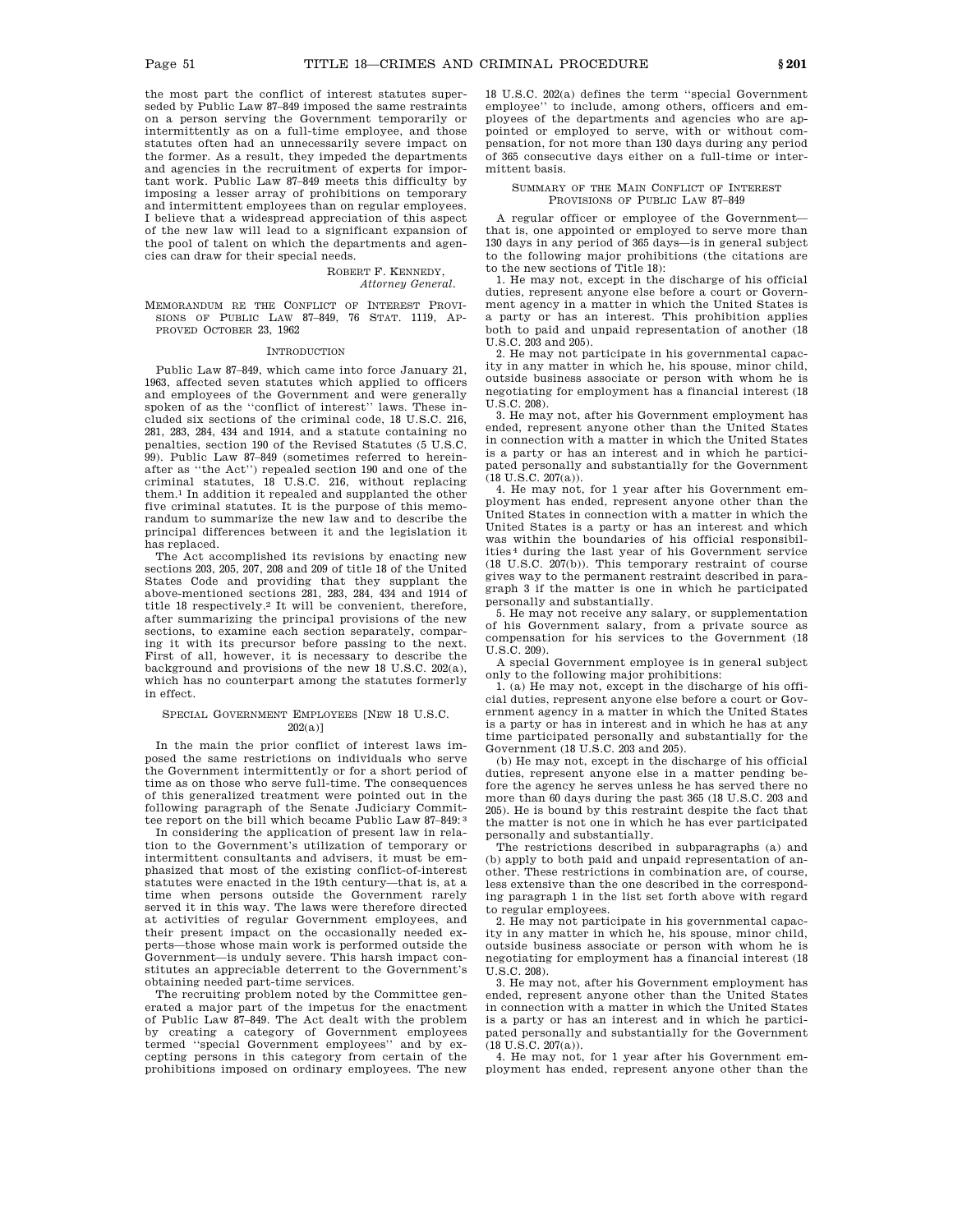the most part the conflict of interest statutes superseded by Public Law 87–849 imposed the same restraints on a person serving the Government temporarily or intermittently as on a full-time employee, and those statutes often had an unnecessarily severe impact on the former. As a result, they impeded the departments and agencies in the recruitment of experts for important work. Public Law 87–849 meets this difficulty by imposing a lesser array of prohibitions on temporary and intermittent employees than on regular employees. I believe that a widespread appreciation of this aspect of the new law will lead to a significant expansion of the pool of talent on which the departments and agencies can draw for their special needs.

ROBERT F. KENNEDY, *Attorney General.*

MEMORANDUM RE THE CONFLICT OF INTEREST PROVI-SIONS OF PUBLIC LAW 87–849, 76 STAT. 1119, AP-PROVED OCTOBER 23, 1962

#### **INTRODUCTION**

Public Law 87–849, which came into force January 21, 1963, affected seven statutes which applied to officers and employees of the Government and were generally spoken of as the ''conflict of interest'' laws. These included six sections of the criminal code, 18 U.S.C. 216, 281, 283, 284, 434 and 1914, and a statute containing no penalties, section 190 of the Revised Statutes (5 U.S.C. 99). Public Law 87–849 (sometimes referred to hereinafter as ''the Act'') repealed section 190 and one of the criminal statutes, 18 U.S.C. 216, without replacing them.1 In addition it repealed and supplanted the other five criminal statutes. It is the purpose of this memorandum to summarize the new law and to describe the principal differences between it and the legislation it has replaced.

The Act accomplished its revisions by enacting new sections 203, 205, 207, 208 and 209 of title 18 of the United States Code and providing that they supplant the above-mentioned sections 281, 283, 284, 434 and 1914 of title 18 respectively.2 It will be convenient, therefore, after summarizing the principal provisions of the new sections, to examine each section separately, comparing it with its precursor before passing to the next. First of all, however, it is necessary to describe the background and provisions of the new 18 U.S.C. 202(a), which has no counterpart among the statutes formerly in effect.

## SPECIAL GOVERNMENT EMPLOYEES [NEW 18 U.S.C.  $202(a)$ ]

In the main the prior conflict of interest laws imposed the same restrictions on individuals who serve the Government intermittently or for a short period of time as on those who serve full-time. The consequences of this generalized treatment were pointed out in the following paragraph of the Senate Judiciary Committee report on the bill which became Public Law 87–849: 3

In considering the application of present law in relation to the Government's utilization of temporary or intermittent consultants and advisers, it must be emphasized that most of the existing conflict-of-interest statutes were enacted in the 19th century—that is, at a time when persons outside the Government rarely served it in this way. The laws were therefore directed at activities of regular Government employees, and their present impact on the occasionally needed experts—those whose main work is performed outside the Government—is unduly severe. This harsh impact constitutes an appreciable deterrent to the Government's obtaining needed part-time services.

The recruiting problem noted by the Committee generated a major part of the impetus for the enactment of Public Law 87–849. The Act dealt with the problem by creating a category of Government employees termed ''special Government employees'' and by ex-cepting persons in this category from certain of the prohibitions imposed on ordinary employees. The new

18 U.S.C. 202(a) defines the term ''special Government employee'' to include, among others, officers and employees of the departments and agencies who are appointed or employed to serve, with or without compensation, for not more than 130 days during any period of 365 consecutive days either on a full-time or intermittent basis.

## SUMMARY OF THE MAIN CONFLICT OF INTEREST PROVISIONS OF PUBLIC LAW 87–849

A regular officer or employee of the Government that is, one appointed or employed to serve more than 130 days in any period of 365 days—is in general subject to the following major prohibitions (the citations are to the new sections of Title 18):

1. He may not, except in the discharge of his official duties, represent anyone else before a court or Government agency in a matter in which the United States is a party or has an interest. This prohibition applies both to paid and unpaid representation of another (18 U.S.C. 203 and 205).

2. He may not participate in his governmental capacity in any matter in which he, his spouse, minor child, outside business associate or person with whom he is negotiating for employment has a financial interest (18 U.S.C. 208).

3. He may not, after his Government employment has ended, represent anyone other than the United States in connection with a matter in which the United States is a party or has an interest and in which he participated personally and substantially for the Government (18 U.S.C. 207(a)).

4. He may not, for 1 year after his Government employment has ended, represent anyone other than the United States in connection with a matter in which the United States is a party or has an interest and which was within the boundaries of his official responsibilities 4 during the last year of his Government service (18 U.S.C. 207(b)). This temporary restraint of course gives way to the permanent restraint described in paragraph 3 if the matter is one in which he participated personally and substantially.

5. He may not receive any salary, or supplementation of his Government salary, from a private source as compensation for his services to the Government (18 U.S.C. 209).

A special Government employee is in general subject only to the following major prohibitions:

1. (a) He may not, except in the discharge of his official duties, represent anyone else before a court or Government agency in a matter in which the United States is a party or has in interest and in which he has at any time participated personally and substantially for the Government (18 U.S.C. 203 and 205).

(b) He may not, except in the discharge of his official duties, represent anyone else in a matter pending before the agency he serves unless he has served there no more than 60 days during the past 365 (18 U.S.C. 203 and 205). He is bound by this restraint despite the fact that the matter is not one in which he has ever participated personally and substantially.

The restrictions described in subparagraphs (a) and (b) apply to both paid and unpaid representation of another. These restrictions in combination are, of course, less extensive than the one described in the corresponding paragraph 1 in the list set forth above with regard to regular employees.

2. He may not participate in his governmental capacity in any matter in which he, his spouse, minor child, outside business associate or person with whom he is negotiating for employment has a financial interest (18 U.S.C. 208).

3. He may not, after his Government employment has ended, represent anyone other than the United States in connection with a matter in which the United States is a party or has an interest and in which he participated personally and substantially for the Government (18 U.S.C. 207(a)).

4. He may not, for 1 year after his Government employment has ended, represent anyone other than the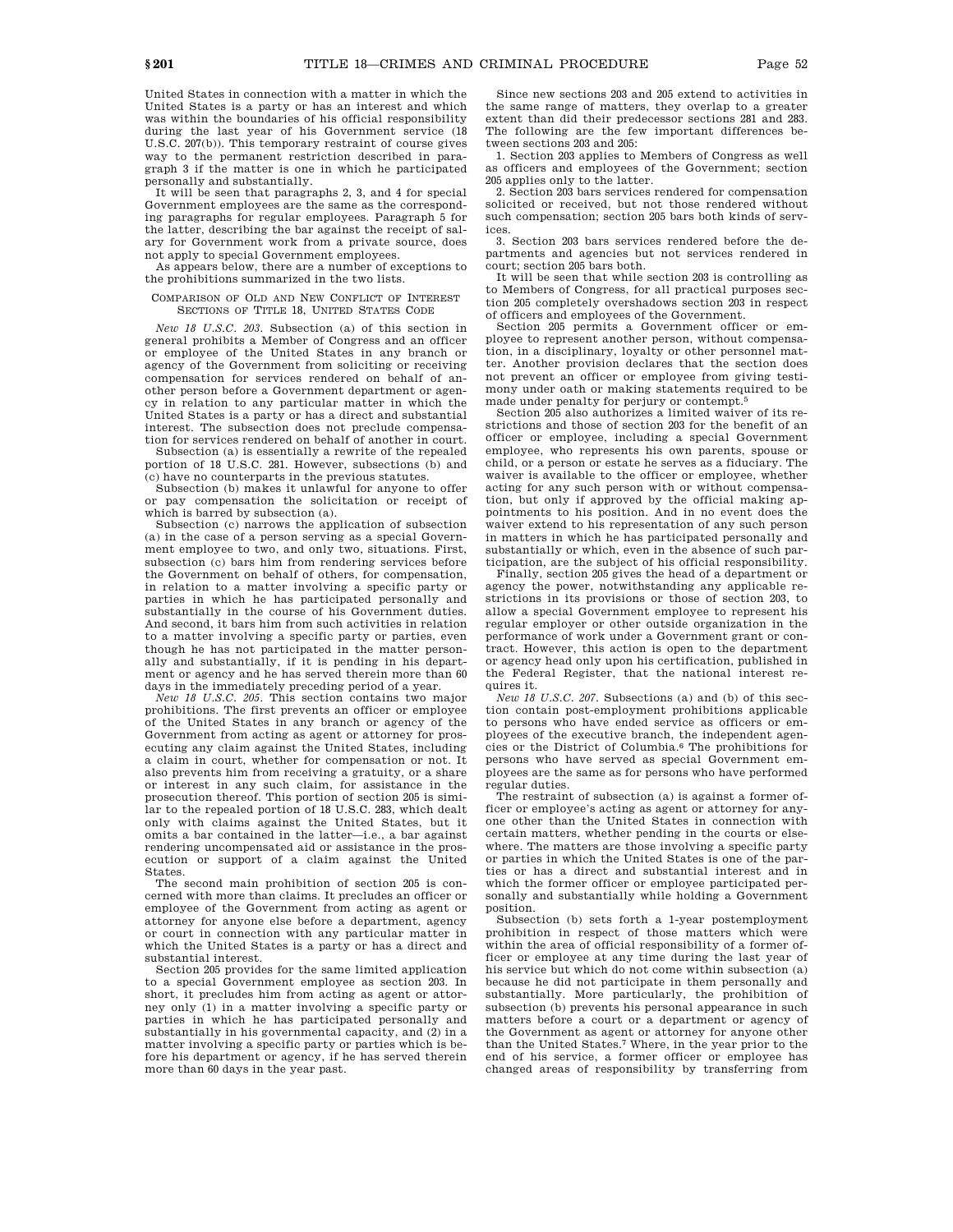United States in connection with a matter in which the United States is a party or has an interest and which was within the boundaries of his official responsibility during the last year of his Government service (18 U.S.C. 207(b)). This temporary restraint of course gives way to the permanent restriction described in paragraph 3 if the matter is one in which he participated personally and substantially.

It will be seen that paragraphs 2, 3, and 4 for special Government employees are the same as the corresponding paragraphs for regular employees. Paragraph 5 for the latter, describing the bar against the receipt of salary for Government work from a private source, does not apply to special Government employees.

As appears below, there are a number of exceptions to the prohibitions summarized in the two lists.

## COMPARISON OF OLD AND NEW CONFLICT OF INTEREST SECTIONS OF TITLE 18, UNITED STATES CODE

*New 18 U.S.C. 203*. Subsection (a) of this section in general prohibits a Member of Congress and an officer or employee of the United States in any branch or agency of the Government from soliciting or receiving compensation for services rendered on behalf of another person before a Government department or agency in relation to any particular matter in which the United States is a party or has a direct and substantial interest. The subsection does not preclude compensation for services rendered on behalf of another in court.

Subsection (a) is essentially a rewrite of the repealed portion of 18 U.S.C. 281. However, subsections (b) and (c) have no counterparts in the previous statutes.

Subsection (b) makes it unlawful for anyone to offer or pay compensation the solicitation or receipt of which is barred by subsection (a).

Subsection (c) narrows the application of subsection (a) in the case of a person serving as a special Government employee to two, and only two, situations. First, subsection (c) bars him from rendering services before the Government on behalf of others, for compensation, in relation to a matter involving a specific party or parties in which he has participated personally and substantially in the course of his Government duties. And second, it bars him from such activities in relation to a matter involving a specific party or parties, even though he has not participated in the matter personally and substantially, if it is pending in his department or agency and he has served therein more than 60 days in the immediately preceding period of a year.

*New 18 U.S.C. 205*. This section contains two major prohibitions. The first prevents an officer or employee of the United States in any branch or agency of the Government from acting as agent or attorney for prosecuting any claim against the United States, including a claim in court, whether for compensation or not. It also prevents him from receiving a gratuity, or a share or interest in any such claim, for assistance in the prosecution thereof. This portion of section 205 is similar to the repealed portion of 18 U.S.C. 283, which dealt only with claims against the United States, but it omits a bar contained in the latter—i.e., a bar against rendering uncompensated aid or assistance in the prosecution or support of a claim against the United States.

The second main prohibition of section 205 is concerned with more than claims. It precludes an officer or employee of the Government from acting as agent or attorney for anyone else before a department, agency or court in connection with any particular matter in which the United States is a party or has a direct and substantial interest.

Section 205 provides for the same limited application to a special Government employee as section 203. In short, it precludes him from acting as agent or attorney only (1) in a matter involving a specific party or parties in which he has participated personally and substantially in his governmental capacity, and (2) in a matter involving a specific party or parties which is before his department or agency, if he has served therein more than 60 days in the year past.

Since new sections 203 and 205 extend to activities in the same range of matters, they overlap to a greater extent than did their predecessor sections 281 and 283. The following are the few important differences between sections 203 and 205:

1. Section 203 applies to Members of Congress as well as officers and employees of the Government; section 205 applies only to the latter.

2. Section 203 bars services rendered for compensation solicited or received, but not those rendered without such compensation; section 205 bars both kinds of services.

3. Section 203 bars services rendered before the departments and agencies but not services rendered in court; section 205 bars both.

It will be seen that while section 203 is controlling as to Members of Congress, for all practical purposes section 205 completely overshadows section 203 in respect of officers and employees of the Government.

Section 205 permits a Government officer or employee to represent another person, without compensation, in a disciplinary, loyalty or other personnel matter. Another provision declares that the section does not prevent an officer or employee from giving testimony under oath or making statements required to be made under penalty for perjury or contempt.5

Section 205 also authorizes a limited waiver of its restrictions and those of section 203 for the benefit of an officer or employee, including a special Government employee, who represents his own parents, spouse or child, or a person or estate he serves as a fiduciary. The waiver is available to the officer or employee, whether acting for any such person with or without compensation, but only if approved by the official making appointments to his position. And in no event does the waiver extend to his representation of any such person in matters in which he has participated personally and substantially or which, even in the absence of such participation, are the subject of his official responsibility.

Finally, section 205 gives the head of a department or agency the power, notwithstanding any applicable restrictions in its provisions or those of section 203, to allow a special Government employee to represent his regular employer or other outside organization in the performance of work under a Government grant or contract. However, this action is open to the department or agency head only upon his certification, published in the Federal Register, that the national interest requires it.

*New 18 U.S.C. 207*. Subsections (a) and (b) of this section contain post-employment prohibitions applicable to persons who have ended service as officers or employees of the executive branch, the independent agencies or the District of Columbia.6 The prohibitions for persons who have served as special Government employees are the same as for persons who have performed regular duties.

The restraint of subsection (a) is against a former officer or employee's acting as agent or attorney for anyone other than the United States in connection with certain matters, whether pending in the courts or elsewhere. The matters are those involving a specific party or parties in which the United States is one of the parties or has a direct and substantial interest and in which the former officer or employee participated personally and substantially while holding a Government position.

Subsection (b) sets forth a 1-year postemployment prohibition in respect of those matters which were within the area of official responsibility of a former officer or employee at any time during the last year of his service but which do not come within subsection (a) because he did not participate in them personally and substantially. More particularly, the prohibition of subsection (b) prevents his personal appearance in such matters before a court or a department or agency of the Government as agent or attorney for anyone other than the United States.7 Where, in the year prior to the end of his service, a former officer or employee has changed areas of responsibility by transferring from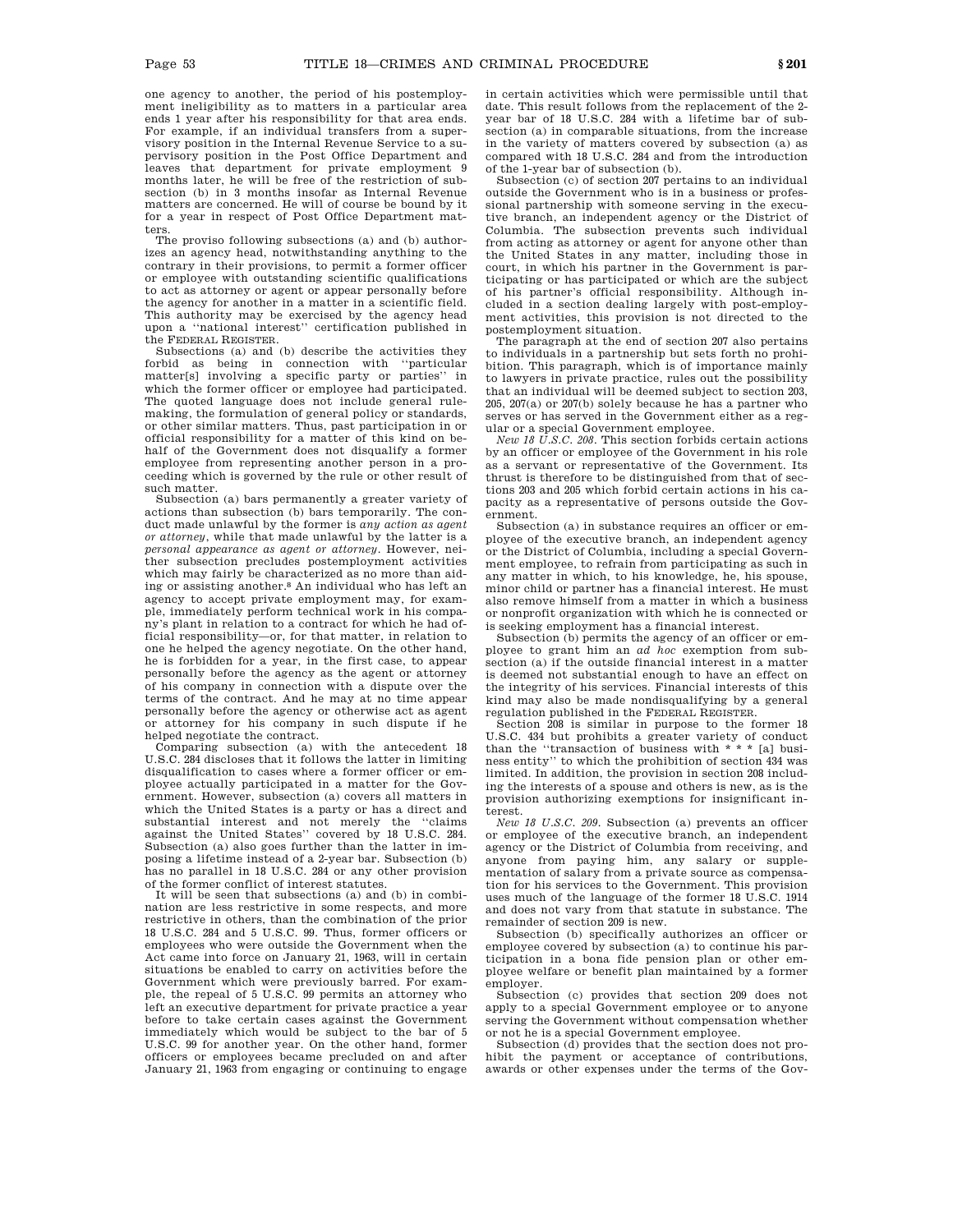one agency to another, the period of his postemployment ineligibility as to matters in a particular area ends 1 year after his responsibility for that area ends. For example, if an individual transfers from a supervisory position in the Internal Revenue Service to a supervisory position in the Post Office Department and leaves that department for private employment 9 months later, he will be free of the restriction of subsection (b) in 3 months insofar as Internal Revenue matters are concerned. He will of course be bound by it for a year in respect of Post Office Department matters.

The proviso following subsections (a) and (b) authorizes an agency head, notwithstanding anything to the contrary in their provisions, to permit a former officer or employee with outstanding scientific qualifications to act as attorney or agent or appear personally before the agency for another in a matter in a scientific field. This authority may be exercised by the agency head upon a ''national interest'' certification published in the FEDERAL REGISTER.

Subsections (a) and (b) describe the activities they forbid as being in connection with ''particular matter[s] involving a specific party or parties'' in which the former officer or employee had participated. The quoted language does not include general rulemaking, the formulation of general policy or standards, or other similar matters. Thus, past participation in or official responsibility for a matter of this kind on behalf of the Government does not disqualify a former employee from representing another person in a proceeding which is governed by the rule or other result of such matter.

Subsection (a) bars permanently a greater variety of actions than subsection (b) bars temporarily. The conduct made unlawful by the former is *any action as agent or attorney*, while that made unlawful by the latter is a *personal appearance as agent or attorney*. However, neither subsection precludes postemployment activities which may fairly be characterized as no more than aiding or assisting another.8 An individual who has left an agency to accept private employment may, for example, immediately perform technical work in his company's plant in relation to a contract for which he had official responsibility—or, for that matter, in relation to one he helped the agency negotiate. On the other hand, he is forbidden for a year, in the first case, to appear personally before the agency as the agent or attorney of his company in connection with a dispute over the terms of the contract. And he may at no time appear personally before the agency or otherwise act as agent or attorney for his company in such dispute if he helped negotiate the contract.

Comparing subsection (a) with the antecedent 18 U.S.C. 284 discloses that it follows the latter in limiting disqualification to cases where a former officer or employee actually participated in a matter for the Government. However, subsection (a) covers all matters in which the United States is a party or has a direct and substantial interest and not merely the ''claims against the United States'' covered by 18 U.S.C. 284. Subsection (a) also goes further than the latter in imposing a lifetime instead of a 2-year bar. Subsection (b) has no parallel in 18 U.S.C. 284 or any other provision of the former conflict of interest statutes.

It will be seen that subsections (a) and (b) in combination are less restrictive in some respects, and more restrictive in others, than the combination of the prior 18 U.S.C. 284 and 5 U.S.C. 99. Thus, former officers or employees who were outside the Government when the Act came into force on January 21, 1963, will in certain situations be enabled to carry on activities before the Government which were previously barred. For example, the repeal of 5 U.S.C. 99 permits an attorney who left an executive department for private practice a year before to take certain cases against the Government immediately which would be subject to the bar of 5 U.S.C. 99 for another year. On the other hand, former officers or employees became precluded on and after January 21, 1963 from engaging or continuing to engage

in certain activities which were permissible until that date. This result follows from the replacement of the 2 year bar of 18 U.S.C. 284 with a lifetime bar of subsection (a) in comparable situations, from the increase in the variety of matters covered by subsection (a) as compared with 18 U.S.C. 284 and from the introduction of the 1-year bar of subsection (b).

Subsection (c) of section 207 pertains to an individual outside the Government who is in a business or professional partnership with someone serving in the executive branch, an independent agency or the District of Columbia. The subsection prevents such individual from acting as attorney or agent for anyone other than the United States in any matter, including those in court, in which his partner in the Government is participating or has participated or which are the subject of his partner's official responsibility. Although included in a section dealing largely with post-employment activities, this provision is not directed to the postemployment situation.

The paragraph at the end of section 207 also pertains to individuals in a partnership but sets forth no prohibition. This paragraph, which is of importance mainly to lawyers in private practice, rules out the possibility that an individual will be deemed subject to section 203, 205, 207(a) or 207(b) solely because he has a partner who serves or has served in the Government either as a regular or a special Government employee.

*New 18 U.S.C. 208*. This section forbids certain actions by an officer or employee of the Government in his role as a servant or representative of the Government. Its thrust is therefore to be distinguished from that of sections 203 and 205 which forbid certain actions in his capacity as a representative of persons outside the Government.

Subsection (a) in substance requires an officer or employee of the executive branch, an independent agency or the District of Columbia, including a special Government employee, to refrain from participating as such in any matter in which, to his knowledge, he, his spouse, minor child or partner has a financial interest. He must also remove himself from a matter in which a business or nonprofit organization with which he is connected or is seeking employment has a financial interest.

Subsection (b) permits the agency of an officer or employee to grant him an *ad hoc* exemption from subsection (a) if the outside financial interest in a matter is deemed not substantial enough to have an effect on the integrity of his services. Financial interests of this kind may also be made nondisqualifying by a general regulation published in the FEDERAL REGISTER.

Section 208 is similar in purpose to the former 18 U.S.C. 434 but prohibits a greater variety of conduct than the ''transaction of business with \* \* \* [a] business entity'' to which the prohibition of section 434 was limited. In addition, the provision in section 208 including the interests of a spouse and others is new, as is the provision authorizing exemptions for insignificant interest.

*New 18 U.S.C. 209*. Subsection (a) prevents an officer or employee of the executive branch, an independent agency or the District of Columbia from receiving, and anyone from paying him, any salary or supplementation of salary from a private source as compensation for his services to the Government. This provision uses much of the language of the former 18 U.S.C. 1914 and does not vary from that statute in substance. The remainder of section 209 is new.

Subsection (b) specifically authorizes an officer or employee covered by subsection (a) to continue his participation in a bona fide pension plan or other employee welfare or benefit plan maintained by a former employer.

Subsection (c) provides that section 209 does not apply to a special Government employee or to anyone serving the Government without compensation whether or not he is a special Government employee.

Subsection (d) provides that the section does not prohibit the payment or acceptance of contributions, awards or other expenses under the terms of the Gov-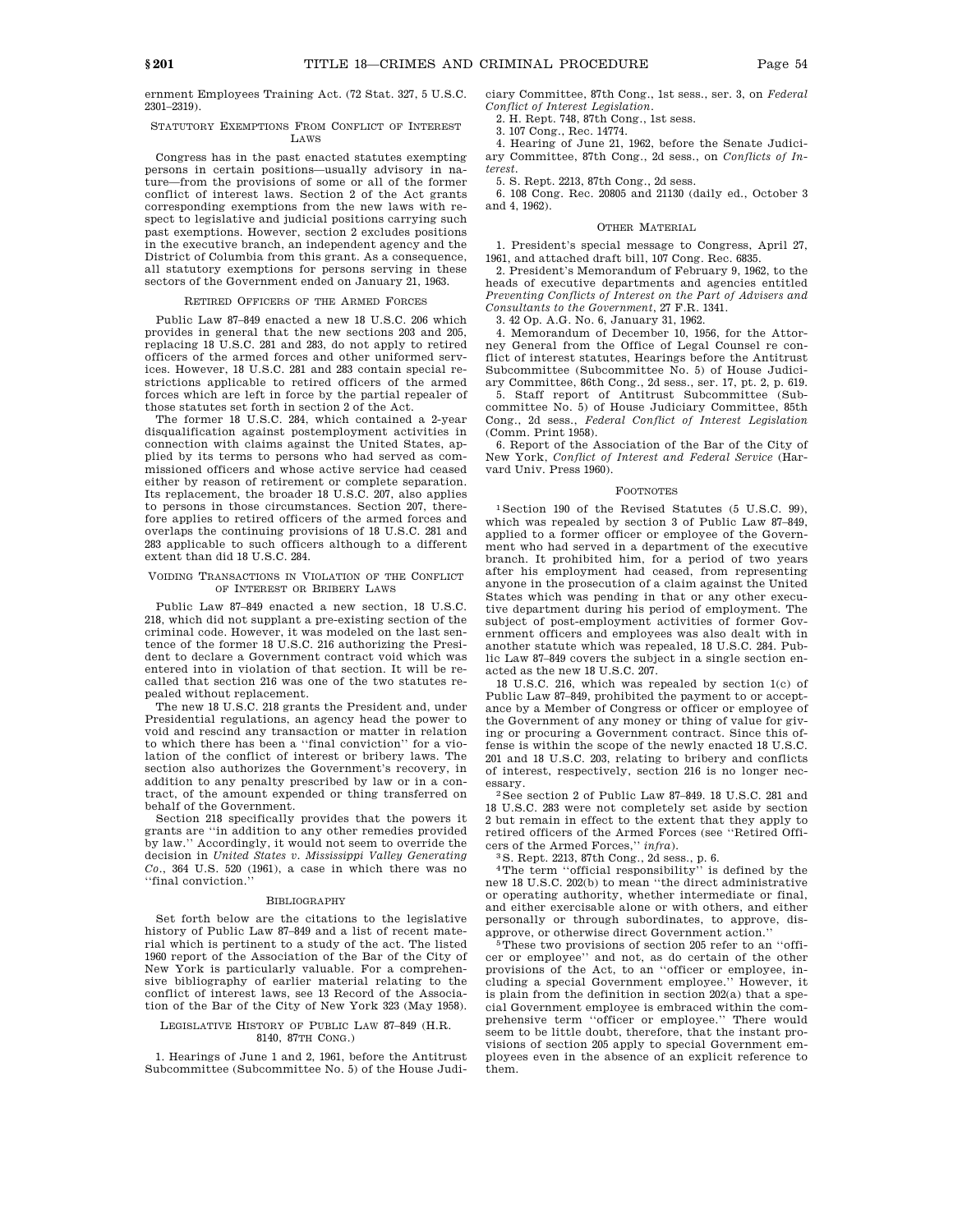ernment Employees Training Act. (72 Stat. 327, 5 U.S.C. 2301–2319).

## STATUTORY EXEMPTIONS FROM CONFLICT OF INTEREST LAWS

Congress has in the past enacted statutes exempting persons in certain positions—usually advisory in nature—from the provisions of some or all of the former conflict of interest laws. Section 2 of the Act grants corresponding exemptions from the new laws with respect to legislative and judicial positions carrying such past exemptions. However, section 2 excludes positions in the executive branch, an independent agency and the District of Columbia from this grant. As a consequence, all statutory exemptions for persons serving in these sectors of the Government ended on January 21, 1963.

#### RETIRED OFFICERS OF THE ARMED FORCES

Public Law 87–849 enacted a new 18 U.S.C. 206 which provides in general that the new sections 203 and 205, replacing 18 U.S.C. 281 and 283, do not apply to retired officers of the armed forces and other uniformed services. However, 18 U.S.C. 281 and 283 contain special restrictions applicable to retired officers of the armed forces which are left in force by the partial repealer of those statutes set forth in section 2 of the Act.

The former 18 U.S.C. 284, which contained a 2-year disqualification against postemployment activities in connection with claims against the United States, applied by its terms to persons who had served as commissioned officers and whose active service had ceased either by reason of retirement or complete separation. Its replacement, the broader 18 U.S.C. 207, also applies to persons in those circumstances. Section 207, therefore applies to retired officers of the armed forces and overlaps the continuing provisions of 18 U.S.C. 281 and 283 applicable to such officers although to a different extent than did 18 U.S.C. 284.

### VOIDING TRANSACTIONS IN VIOLATION OF THE CONFLICT OF INTEREST OR BRIBERY LAWS

Public Law 87–849 enacted a new section, 18 U.S.C. 218, which did not supplant a pre-existing section of the criminal code. However, it was modeled on the last sentence of the former 18 U.S.C. 216 authorizing the President to declare a Government contract void which was entered into in violation of that section. It will be recalled that section 216 was one of the two statutes repealed without replacement.

The new 18 U.S.C. 218 grants the President and, under Presidential regulations, an agency head the power to void and rescind any transaction or matter in relation to which there has been a ''final conviction'' for a violation of the conflict of interest or bribery laws. The section also authorizes the Government's recovery, in addition to any penalty prescribed by law or in a contract, of the amount expended or thing transferred on behalf of the Government.

Section 218 specifically provides that the powers it grants are ''in addition to any other remedies provided by law.'' Accordingly, it would not seem to override the decision in *United States v. Mississippi Valley Generating Co*., 364 U.S. 520 (1961), a case in which there was no ''final conviction.''

## BIBLIOGRAPHY

Set forth below are the citations to the legislative history of Public Law 87–849 and a list of recent material which is pertinent to a study of the act. The listed 1960 report of the Association of the Bar of the City of New York is particularly valuable. For a comprehensive bibliography of earlier material relating to the conflict of interest laws, see 13 Record of the Association of the Bar of the City of New York 323 (May 1958).

## LEGISLATIVE HISTORY OF PUBLIC LAW 87–849 (H.R. 8140, 87TH CONG.)

1. Hearings of June 1 and 2, 1961, before the Antitrust Subcommittee (Subcommittee No. 5) of the House Judiciary Committee, 87th Cong., 1st sess., ser. 3, on *Federal Conflict of Interest Legislation.*

2. H. Rept. 748, 87th Cong., 1st sess.

3. 107 Cong., Rec. 14774.

4. Hearing of June 21, 1962, before the Senate Judiciary Committee, 87th Cong., 2d sess., on *Conflicts of Interest.*

5. S. Rept. 2213, 87th Cong., 2d sess.

6. 108 Cong. Rec. 20805 and 21130 (daily ed., October 3 and 4, 1962).

#### OTHER MATERIAL

1. President's special message to Congress, April 27, 1961, and attached draft bill, 107 Cong. Rec. 6835.

2. President's Memorandum of February 9, 1962, to the heads of executive departments and agencies entitled *Preventing Conflicts of Interest on the Part of Advisers and Consultants to the Government*, 27 F.R. 1341.

3. 42 Op. A.G. No. 6, January 31, 1962.

4. Memorandum of December 10, 1956, for the Attorney General from the Office of Legal Counsel re conflict of interest statutes, Hearings before the Antitrust Subcommittee (Subcommittee No. 5) of House Judiciary Committee, 86th Cong., 2d sess., ser. 17, pt. 2, p. 619.

5. Staff report of Antitrust Subcommittee (Subcommittee No. 5) of House Judiciary Committee, 85th Cong., 2d sess., *Federal Conflict of Interest Legislation* (Comm. Print 1958).

6. Report of the Association of the Bar of the City of New York, *Conflict of Interest and Federal Service* (Harvard Univ. Press 1960).

#### FOOTNOTES

1 Section 190 of the Revised Statutes (5 U.S.C. 99), which was repealed by section 3 of Public Law 87–849, applied to a former officer or employee of the Government who had served in a department of the executive branch. It prohibited him, for a period of two years after his employment had ceased, from representing anyone in the prosecution of a claim against the United States which was pending in that or any other executive department during his period of employment. The subject of post-employment activities of former Government officers and employees was also dealt with in another statute which was repealed, 18 U.S.C. 284. Public Law 87–849 covers the subject in a single section enacted as the new 18 U.S.C. 207.

18 U.S.C. 216, which was repealed by section 1(c) of Public Law 87–849, prohibited the payment to or acceptance by a Member of Congress or officer or employee of the Government of any money or thing of value for giving or procuring a Government contract. Since this offense is within the scope of the newly enacted 18 U.S.C. 201 and 18 U.S.C. 203, relating to bribery and conflicts of interest, respectively, section 216 is no longer necessary.

2 See section 2 of Public Law 87–849. 18 U.S.C. 281 and 18 U.S.C. 283 were not completely set aside by section 2 but remain in effect to the extent that they apply to retired officers of the Armed Forces (see ''Retired Officers of the Armed Forces,'' *infra*).

3 S. Rept. 2213, 87th Cong., 2d sess., p. 6. 4The term ''official responsibility'' is defined by the new 18 U.S.C. 202(b) to mean ''the direct administrative or operating authority, whether intermediate or final, and either exercisable alone or with others, and either personally or through subordinates, to approve, disapprove, or otherwise direct Government action.''

5These two provisions of section 205 refer to an ''officer or employee'' and not, as do certain of the other provisions of the Act, to an ''officer or employee, including a special Government employee.'' However, it is plain from the definition in section 202(a) that a special Government employee is embraced within the comprehensive term ''officer or employee.'' There would seem to be little doubt, therefore, that the instant provisions of section 205 apply to special Government employees even in the absence of an explicit reference to them.